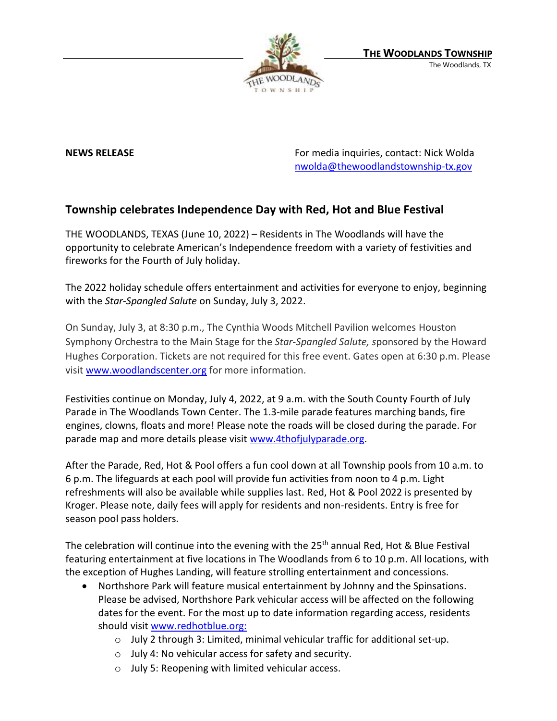

**NEWS RELEASE** For media inquiries, contact: Nick Wolda **NEWS** RELEASE [nwolda@thewoodlandstownship-tx.gov](mailto:nwolda@thewoodlandstownship-tx.gov)

## **Township celebrates Independence Day with Red, Hot and Blue Festival**

THE WOODLANDS, TEXAS (June 10, 2022) – Residents in The Woodlands will have the opportunity to celebrate American's Independence freedom with a variety of festivities and fireworks for the Fourth of July holiday.

The 2022 holiday schedule offers entertainment and activities for everyone to enjoy, beginning with the *Star-Spangled Salute* on Sunday, July 3, 2022.

On Sunday, July 3, at 8:30 p.m., The Cynthia Woods Mitchell Pavilion welcomes Houston Symphony Orchestra to the Main Stage for the *Star-Spangled Salute, s*ponsored by the Howard Hughes Corporation. Tickets are not required for this free event. Gates open at 6:30 p.m. Please visit [www.woodlandscenter.org](http://www.woodlandscenter.org/) for more information.

Festivities continue on Monday, July 4, 2022, at 9 a.m. with the South County Fourth of July Parade in The Woodlands Town Center. The 1.3-mile parade features marching bands, fire engines, clowns, floats and more! Please note the roads will be closed during the parade. For parade map and more details please visit [www.4thofjulyparade.org.](http://www.4thofjuly.org/)

After the Parade, Red, Hot & Pool offers a fun cool down at all Township pools from 10 a.m. to 6 p.m. The lifeguards at each pool will provide fun activities from noon to 4 p.m. Light refreshments will also be available while supplies last. Red, Hot & Pool 2022 is presented by Kroger. Please note, daily fees will apply for residents and non-residents. Entry is free for season pool pass holders.

The celebration will continue into the evening with the 25<sup>th</sup> annual Red, Hot & Blue Festival featuring entertainment at five locations in The Woodlands from 6 to 10 p.m. All locations, with the exception of Hughes Landing, will feature strolling entertainment and concessions.

- Northshore Park will feature musical entertainment by Johnny and the Spinsations. Please be advised, Northshore Park vehicular access will be affected on the following dates for the event. For the most up to date information regarding access, residents should visit [www.redhotblue.org:](http://www.redhotblue.org/)
	- o July 2 through 3: Limited, minimal vehicular traffic for additional set-up.
	- o July 4: No vehicular access for safety and security.
	- o July 5: Reopening with limited vehicular access.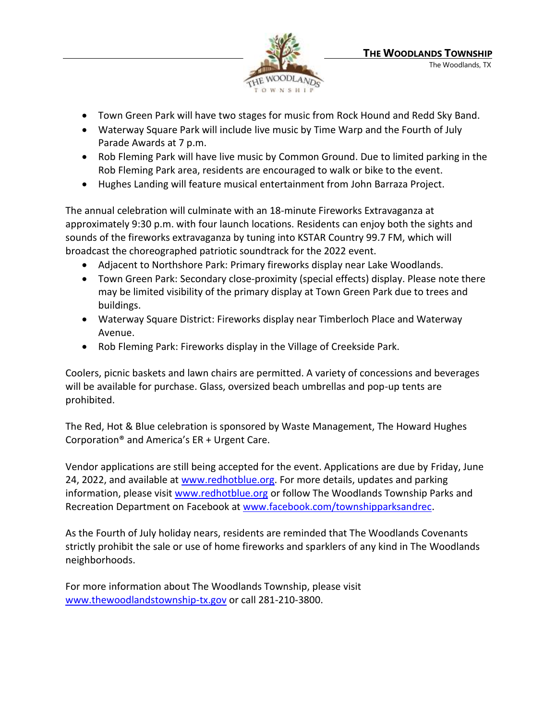

- Town Green Park will have two stages for music from Rock Hound and Redd Sky Band.
- Waterway Square Park will include live music by Time Warp and the Fourth of July Parade Awards at 7 p.m.
- Rob Fleming Park will have live music by Common Ground. Due to limited parking in the Rob Fleming Park area, residents are encouraged to walk or bike to the event.
- Hughes Landing will feature musical entertainment from John Barraza Project.

The annual celebration will culminate with an 18-minute Fireworks Extravaganza at approximately 9:30 p.m. with four launch locations. Residents can enjoy both the sights and sounds of the fireworks extravaganza by tuning into KSTAR Country 99.7 FM, which will broadcast the choreographed patriotic soundtrack for the 2022 event.

- Adjacent to Northshore Park: Primary fireworks display near Lake Woodlands.
- Town Green Park: Secondary close-proximity (special effects) display. Please note there may be limited visibility of the primary display at Town Green Park due to trees and buildings.
- Waterway Square District: Fireworks display near Timberloch Place and Waterway Avenue.
- Rob Fleming Park: Fireworks display in the Village of Creekside Park.

Coolers, picnic baskets and lawn chairs are permitted. A variety of concessions and beverages will be available for purchase. Glass, oversized beach umbrellas and pop-up tents are prohibited.

The Red, Hot & Blue celebration is sponsored by Waste Management, The Howard Hughes Corporation® and America's ER + Urgent Care.

Vendor applications are still being accepted for the event. Applications are due by Friday, June 24, 2022, and available at [www.redhotblue.org.](http://www.redhotblue.org/) For more details, updates and parking information, please visit [www.redhotblue.org](http://www.redhotblue.org/) or follow The Woodlands Township Parks and Recreation Department on Facebook at [www.facebook.com/townshipparksandrec.](http://www.facebook.com/townshipparksandrec)

As the Fourth of July holiday nears, residents are reminded that The Woodlands Covenants strictly prohibit the sale or use of home fireworks and sparklers of any kind in The Woodlands neighborhoods.

For more information about The Woodlands Township, please visit [www.thewoodlandstownship-tx.gov](http://www.thewoodlandstownship-tx.gov/) or call 281-210-3800.